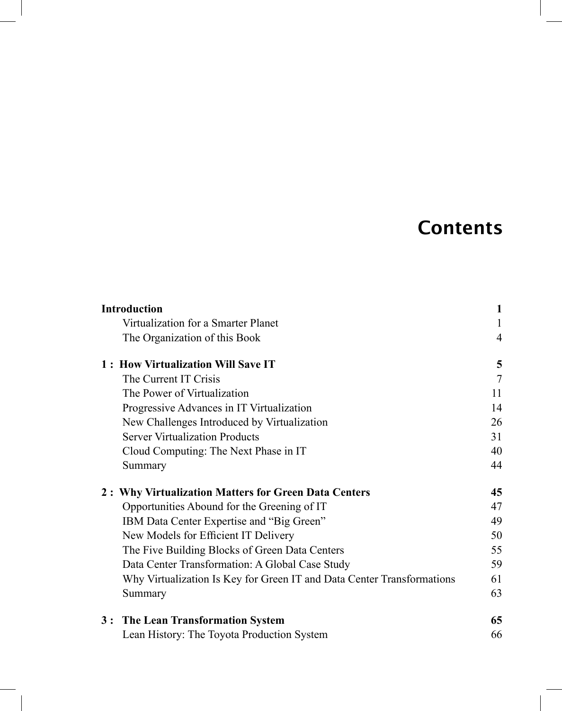## **Contents**

|                                    | <b>Introduction</b>                                                    | 1  |  |
|------------------------------------|------------------------------------------------------------------------|----|--|
|                                    | Virtualization for a Smarter Planet                                    | 1  |  |
|                                    | The Organization of this Book                                          | 4  |  |
| 1: How Virtualization Will Save IT |                                                                        |    |  |
|                                    | The Current IT Crisis                                                  | 7  |  |
|                                    | The Power of Virtualization                                            | 11 |  |
|                                    | Progressive Advances in IT Virtualization                              | 14 |  |
|                                    | New Challenges Introduced by Virtualization                            | 26 |  |
|                                    | <b>Server Virtualization Products</b>                                  | 31 |  |
|                                    | Cloud Computing: The Next Phase in IT                                  | 40 |  |
|                                    | Summary                                                                | 44 |  |
|                                    | 2: Why Virtualization Matters for Green Data Centers                   | 45 |  |
|                                    | Opportunities Abound for the Greening of IT                            | 47 |  |
|                                    | IBM Data Center Expertise and "Big Green"                              | 49 |  |
|                                    | New Models for Efficient IT Delivery                                   | 50 |  |
|                                    | The Five Building Blocks of Green Data Centers                         | 55 |  |
|                                    | Data Center Transformation: A Global Case Study                        | 59 |  |
|                                    | Why Virtualization Is Key for Green IT and Data Center Transformations | 61 |  |
|                                    | Summary                                                                | 63 |  |
|                                    | 3: The Lean Transformation System                                      | 65 |  |
|                                    | Lean History: The Toyota Production System                             | 66 |  |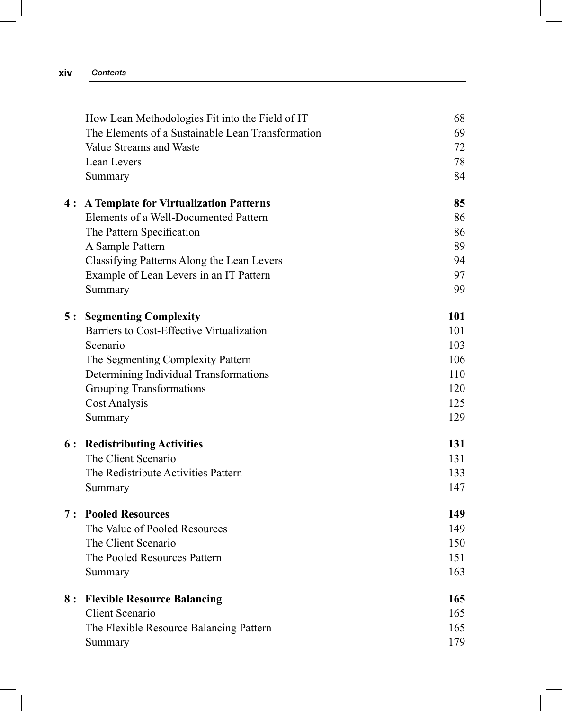| XIV | Contents |
|-----|----------|

|     | How Lean Methodologies Fit into the Field of IT   | 68  |
|-----|---------------------------------------------------|-----|
|     | The Elements of a Sustainable Lean Transformation | 69  |
|     | Value Streams and Waste                           | 72  |
|     | Lean Levers                                       | 78  |
|     | Summary                                           | 84  |
|     | 4: A Template for Virtualization Patterns         | 85  |
|     | Elements of a Well-Documented Pattern             | 86  |
|     | The Pattern Specification                         | 86  |
|     | A Sample Pattern                                  | 89  |
|     | Classifying Patterns Along the Lean Levers        | 94  |
|     | Example of Lean Levers in an IT Pattern           | 97  |
|     | Summary                                           | 99  |
| 5:  | <b>Segmenting Complexity</b>                      | 101 |
|     | Barriers to Cost-Effective Virtualization         | 101 |
|     | Scenario                                          | 103 |
|     | The Segmenting Complexity Pattern                 | 106 |
|     | Determining Individual Transformations            | 110 |
|     | <b>Grouping Transformations</b>                   | 120 |
|     | Cost Analysis                                     | 125 |
|     | Summary                                           | 129 |
| 6 : | <b>Redistributing Activities</b>                  | 131 |
|     | The Client Scenario                               | 131 |
|     | The Redistribute Activities Pattern               | 133 |
|     | Summary                                           | 147 |
|     | <b>7:</b> Pooled Resources                        | 149 |
|     | The Value of Pooled Resources                     | 149 |
|     | The Client Scenario                               | 150 |
|     | The Pooled Resources Pattern                      | 151 |
|     | Summary                                           | 163 |
| 8 : | <b>Flexible Resource Balancing</b>                | 165 |
|     | Client Scenario                                   | 165 |
|     | The Flexible Resource Balancing Pattern           | 165 |
|     | Summary                                           | 179 |